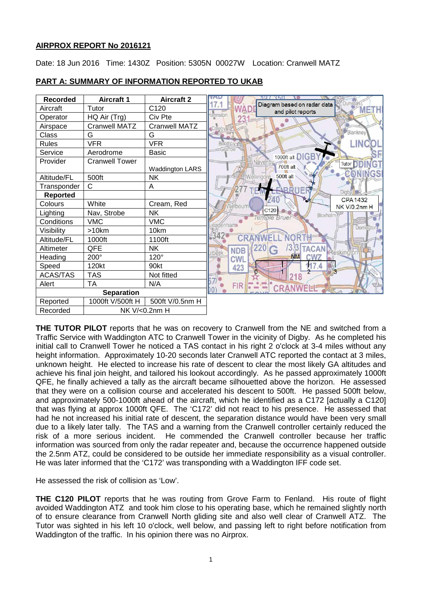## **AIRPROX REPORT No 2016121**

Date: 18 Jun 2016 Time: 1430Z Position: 5305N 00027W Location: Cranwell MATZ



## **PART A: SUMMARY OF INFORMATION REPORTED TO UKAB**

**THE TUTOR PILOT** reports that he was on recovery to Cranwell from the NE and switched from a Traffic Service with Waddington ATC to Cranwell Tower in the vicinity of Digby. As he completed his initial call to Cranwell Tower he noticed a TAS contact in his right 2 o'clock at 3-4 miles without any height information. Approximately 10-20 seconds later Cranwell ATC reported the contact at 3 miles, unknown height. He elected to increase his rate of descent to clear the most likely GA altitudes and achieve his final join height, and tailored his lookout accordingly. As he passed approximately 1000ft QFE, he finally achieved a tally as the aircraft became silhouetted above the horizon. He assessed that they were on a collision course and accelerated his descent to 500ft. He passed 500ft below, and approximately 500-1000ft ahead of the aircraft, which he identified as a C172 [actually a C120] that was flying at approx 1000ft QFE. The 'C172' did not react to his presence. He assessed that had he not increased his initial rate of descent, the separation distance would have been very small due to a likely later tally. The TAS and a warning from the Cranwell controller certainly reduced the risk of a more serious incident. He commended the Cranwell controller because her traffic information was sourced from only the radar repeater and, because the occurrence happened outside the 2.5nm ATZ, could be considered to be outside her immediate responsibility as a visual controller. He was later informed that the 'C172' was transponding with a Waddington IFF code set.

He assessed the risk of collision as 'Low'.

**THE C120 PILOT** reports that he was routing from Grove Farm to Fenland. His route of flight avoided Waddington ATZ and took him close to his operating base, which he remained slightly north of to ensure clearance from Cranwell North gliding site and also well clear of Cranwell ATZ. The Tutor was sighted in his left 10 o'clock, well below, and passing left to right before notification from Waddington of the traffic. In his opinion there was no Airprox.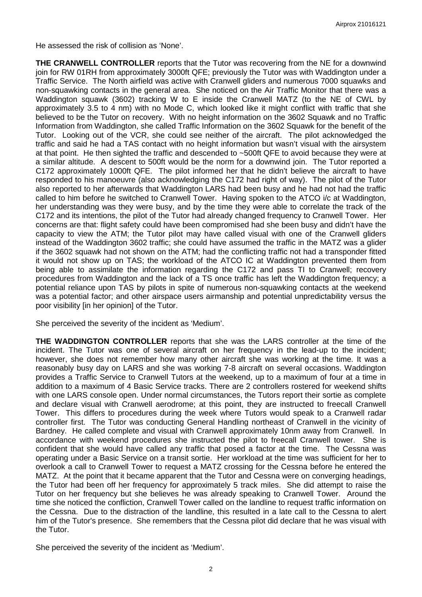He assessed the risk of collision as 'None'.

**THE CRANWELL CONTROLLER** reports that the Tutor was recovering from the NE for a downwind join for RW 01RH from approximately 3000ft QFE; previously the Tutor was with Waddington under a Traffic Service. The North airfield was active with Cranwell gliders and numerous 7000 squawks and non-squawking contacts in the general area. She noticed on the Air Traffic Monitor that there was a Waddington squawk (3602) tracking W to E inside the Cranwell MATZ (to the NE of CWL by approximately 3.5 to 4 nm) with no Mode C, which looked like it might conflict with traffic that she believed to be the Tutor on recovery. With no height information on the 3602 Squawk and no Traffic Information from Waddington, she called Traffic Information on the 3602 Squawk for the benefit of the Tutor. Looking out of the VCR, she could see neither of the aircraft. The pilot acknowledged the traffic and said he had a TAS contact with no height information but wasn't visual with the airsystem at that point. He then sighted the traffic and descended to ~500ft QFE to avoid because they were at a similar altitude. A descent to 500ft would be the norm for a downwind join. The Tutor reported a C172 approximately 1000ft QFE. The pilot informed her that he didn't believe the aircraft to have responded to his manoeuvre (also acknowledging the C172 had right of way). The pilot of the Tutor also reported to her afterwards that Waddington LARS had been busy and he had not had the traffic called to him before he switched to Cranwell Tower. Having spoken to the ATCO i/c at Waddington, her understanding was they were busy, and by the time they were able to correlate the track of the C172 and its intentions, the pilot of the Tutor had already changed frequency to Cranwell Tower. Her concerns are that: flight safety could have been compromised had she been busy and didn't have the capacity to view the ATM; the Tutor pilot may have called visual with one of the Cranwell gliders instead of the Waddington 3602 traffic; she could have assumed the traffic in the MATZ was a glider if the 3602 squawk had not shown on the ATM; had the conflicting traffic not had a transponder fitted it would not show up on TAS; the workload of the ATCO IC at Waddington prevented them from being able to assimilate the information regarding the C172 and pass TI to Cranwell; recovery procedures from Waddington and the lack of a TS once traffic has left the Waddington frequency; a potential reliance upon TAS by pilots in spite of numerous non-squawking contacts at the weekend was a potential factor; and other airspace users airmanship and potential unpredictability versus the poor visibility [in her opinion] of the Tutor.

She perceived the severity of the incident as 'Medium'.

**THE WADDINGTON CONTROLLER** reports that she was the LARS controller at the time of the incident. The Tutor was one of several aircraft on her frequency in the lead-up to the incident; however, she does not remember how many other aircraft she was working at the time. It was a reasonably busy day on LARS and she was working 7-8 aircraft on several occasions. Waddington provides a Traffic Service to Cranwell Tutors at the weekend, up to a maximum of four at a time in addition to a maximum of 4 Basic Service tracks. There are 2 controllers rostered for weekend shifts with one LARS console open. Under normal circumstances, the Tutors report their sortie as complete and declare visual with Cranwell aerodrome; at this point, they are instructed to freecall Cranwell Tower. This differs to procedures during the week where Tutors would speak to a Cranwell radar controller first. The Tutor was conducting General Handling northeast of Cranwell in the vicinity of Bardney. He called complete and visual with Cranwell approximately 10nm away from Cranwell. In accordance with weekend procedures she instructed the pilot to freecall Cranwell tower. She is confident that she would have called any traffic that posed a factor at the time. The Cessna was operating under a Basic Service on a transit sortie. Her workload at the time was sufficient for her to overlook a call to Cranwell Tower to request a MATZ crossing for the Cessna before he entered the MATZ. At the point that it became apparent that the Tutor and Cessna were on converging headings, the Tutor had been off her frequency for approximately 5 track miles. She did attempt to raise the Tutor on her frequency but she believes he was already speaking to Cranwell Tower. Around the time she noticed the confliction, Cranwell Tower called on the landline to request traffic information on the Cessna. Due to the distraction of the landline, this resulted in a late call to the Cessna to alert him of the Tutor's presence. She remembers that the Cessna pilot did declare that he was visual with the Tutor.

She perceived the severity of the incident as 'Medium'.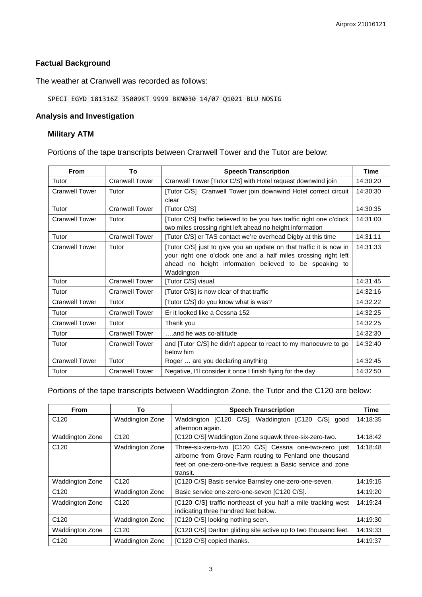# **Factual Background**

The weather at Cranwell was recorded as follows:

# SPECI EGYD 181316Z 35009KT 9999 BKN030 14/07 Q1021 BLU NOSIG

## **Analysis and Investigation**

## **Military ATM**

Portions of the tape transcripts between Cranwell Tower and the Tutor are below:

| <b>From</b>           | To                    | <b>Speech Transcription</b>                                                                                                                                                                                    | <b>Time</b> |
|-----------------------|-----------------------|----------------------------------------------------------------------------------------------------------------------------------------------------------------------------------------------------------------|-------------|
| Tutor                 | <b>Cranwell Tower</b> | Cranwell Tower [Tutor C/S] with Hotel request downwind join                                                                                                                                                    | 14:30:20    |
| <b>Cranwell Tower</b> | Tutor                 | [Tutor C/S] Cranwell Tower join downwind Hotel correct circuit<br>clear                                                                                                                                        | 14:30:30    |
| Tutor                 | <b>Cranwell Tower</b> | [Tutor C/S]                                                                                                                                                                                                    | 14:30:35    |
| <b>Cranwell Tower</b> | Tutor                 | [Tutor C/S] traffic believed to be you has traffic right one o'clock<br>two miles crossing right left ahead no height information                                                                              | 14:31:00    |
| Tutor                 | <b>Cranwell Tower</b> | [Tutor C/S] er TAS contact we're overhead Digby at this time                                                                                                                                                   | 14:31:11    |
| <b>Cranwell Tower</b> | Tutor                 | [Tutor C/S] just to give you an update on that traffic it is now in<br>your right one o'clock one and a half miles crossing right left<br>ahead no height information believed to be speaking to<br>Waddington | 14:31:33    |
| Tutor                 | <b>Cranwell Tower</b> | [Tutor C/S] visual                                                                                                                                                                                             | 14:31:45    |
| Tutor                 | <b>Cranwell Tower</b> | [Tutor C/S] is now clear of that traffic                                                                                                                                                                       | 14:32:16    |
| <b>Cranwell Tower</b> | Tutor                 | [Tutor C/S] do you know what is was?                                                                                                                                                                           | 14:32:22    |
| Tutor                 | <b>Cranwell Tower</b> | Er it looked like a Cessna 152                                                                                                                                                                                 | 14:32:25    |
| <b>Cranwell Tower</b> | Tutor                 | Thank you                                                                                                                                                                                                      | 14:32:25    |
| Tutor                 | <b>Cranwell Tower</b> | and he was co-altitude                                                                                                                                                                                         | 14:32:30    |
| Tutor                 | <b>Cranwell Tower</b> | and [Tutor C/S] he didn't appear to react to my manoeuvre to go<br>below him                                                                                                                                   | 14:32:40    |
| <b>Cranwell Tower</b> | Tutor                 | Roger  are you declaring anything                                                                                                                                                                              | 14:32:45    |
| Tutor                 | <b>Cranwell Tower</b> | Negative, I'll consider it once I finish flying for the day                                                                                                                                                    | 14:32:50    |

## Portions of the tape transcripts between Waddington Zone, the Tutor and the C120 are below:

| <b>From</b>      | To                     | <b>Speech Transcription</b>                                     | Time     |
|------------------|------------------------|-----------------------------------------------------------------|----------|
| C <sub>120</sub> | <b>Waddington Zone</b> | Waddington [C120 C/S], Waddington [C120 C/S] good               | 14:18:35 |
|                  |                        | afternoon again.                                                |          |
| Waddington Zone  | C <sub>120</sub>       | [C120 C/S] Waddington Zone squawk three-six-zero-two.           | 14:18:42 |
| C <sub>120</sub> | Waddington Zone        | Three-six-zero-two [C120 C/S] Cessna one-two-zero just          | 14:18:48 |
|                  |                        | airborne from Grove Farm routing to Fenland one thousand        |          |
|                  |                        | feet on one-zero-one-five request a Basic service and zone      |          |
|                  |                        | transit.                                                        |          |
| Waddington Zone  | C <sub>120</sub>       | [C120 C/S] Basic service Barnsley one-zero-one-seven.           | 14:19:15 |
| C <sub>120</sub> | <b>Waddington Zone</b> | Basic service one-zero-one-seven [C120 C/S].                    | 14:19:20 |
| Waddington Zone  | C <sub>120</sub>       | [C120 C/S] traffic northeast of you half a mile tracking west   | 14:19:24 |
|                  |                        | indicating three hundred feet below.                            |          |
| C <sub>120</sub> | Waddington Zone        | [C120 C/S] looking nothing seen.                                | 14:19:30 |
| Waddington Zone  | C <sub>120</sub>       | [C120 C/S] Darlton gliding site active up to two thousand feet. | 14:19:33 |
| C <sub>120</sub> | Waddington Zone        | [C120 C/S] copied thanks.                                       | 14:19:37 |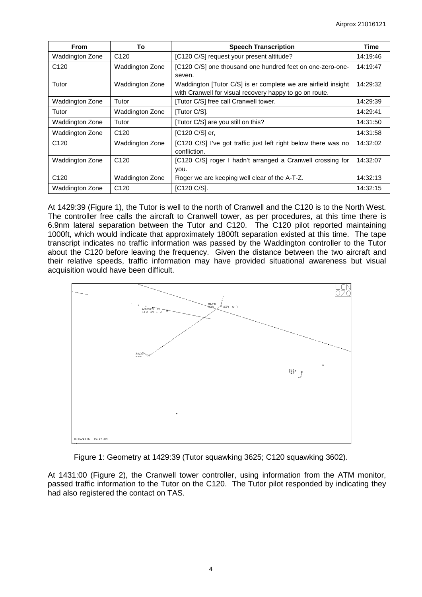| <b>From</b>            | To                     | <b>Speech Transcription</b>                                                                                              | Time     |
|------------------------|------------------------|--------------------------------------------------------------------------------------------------------------------------|----------|
| Waddington Zone        | C <sub>120</sub>       | [C120 C/S] request your present altitude?                                                                                | 14:19:46 |
| C <sub>120</sub>       | <b>Waddington Zone</b> | [C120 C/S] one thousand one hundred feet on one-zero-one-<br>seven.                                                      | 14:19:47 |
| Tutor                  | Waddington Zone        | Waddington [Tutor C/S] is er complete we are airfield insight<br>with Cranwell for visual recovery happy to go on route. | 14:29:32 |
| <b>Waddington Zone</b> | Tutor                  | [Tutor C/S] free call Cranwell tower.                                                                                    | 14:29:39 |
| Tutor                  | Waddington Zone        | [Tutor C/S].                                                                                                             | 14:29:41 |
| Waddington Zone        | Tutor                  | [Tutor C/S] are you still on this?                                                                                       | 14:31:50 |
| Waddington Zone        | C <sub>120</sub>       | [C120 C/S] er.                                                                                                           | 14:31:58 |
| C <sub>120</sub>       | Waddington Zone        | [C120 C/S] I've got traffic just left right below there was no<br>confliction.                                           | 14:32:02 |
| Waddington Zone        | C <sub>120</sub>       | [C120 C/S] roger I hadn't arranged a Cranwell crossing for<br>you.                                                       | 14:32:07 |
| C <sub>120</sub>       | Waddington Zone        | Roger we are keeping well clear of the A-T-Z.                                                                            | 14:32:13 |
| Waddington Zone        | C <sub>120</sub>       | [C120 C/S].                                                                                                              | 14:32:15 |

At 1429:39 (Figure 1), the Tutor is well to the north of Cranwell and the C120 is to the North West. The controller free calls the aircraft to Cranwell tower, as per procedures, at this time there is 6.9nm lateral separation between the Tutor and C120. The C120 pilot reported maintaining 1000ft, which would indicate that approximately 1800ft separation existed at this time. The tape transcript indicates no traffic information was passed by the Waddington controller to the Tutor about the C120 before leaving the frequency. Given the distance between the two aircraft and their relative speeds, traffic information may have provided situational awareness but visual acquisition would have been difficult.



Figure 1: Geometry at 1429:39 (Tutor squawking 3625; C120 squawking 3602).

At 1431:00 (Figure 2), the Cranwell tower controller, using information from the ATM monitor, passed traffic information to the Tutor on the C120. The Tutor pilot responded by indicating they had also registered the contact on TAS.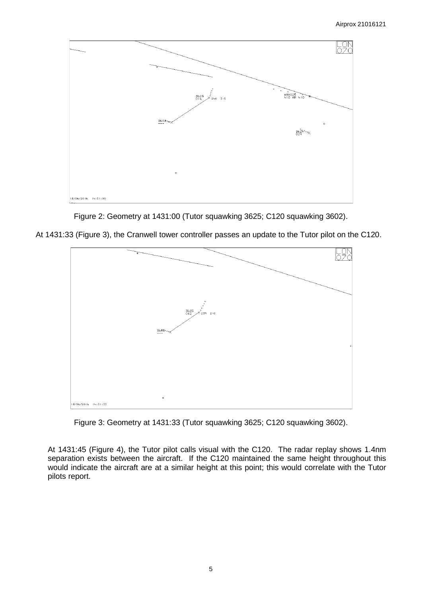



At 1431:33 (Figure 3), the Cranwell tower controller passes an update to the Tutor pilot on the C120.



Figure 3: Geometry at 1431:33 (Tutor squawking 3625; C120 squawking 3602).

At 1431:45 (Figure 4), the Tutor pilot calls visual with the C120. The radar replay shows 1.4nm separation exists between the aircraft. If the C120 maintained the same height throughout this would indicate the aircraft are at a similar height at this point; this would correlate with the Tutor pilots report.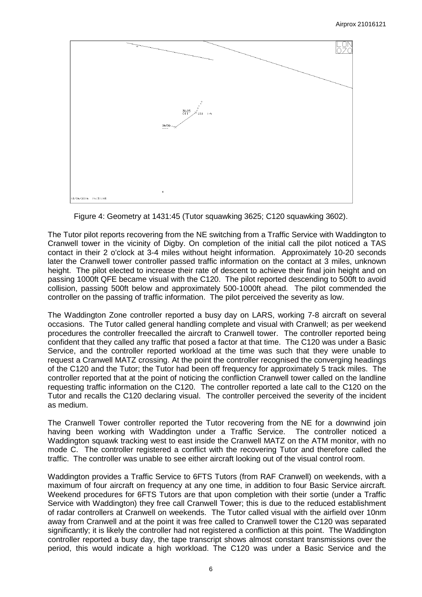



The Tutor pilot reports recovering from the NE switching from a Traffic Service with Waddington to Cranwell tower in the vicinity of Digby. On completion of the initial call the pilot noticed a TAS contact in their 2 o'clock at 3-4 miles without height information. Approximately 10-20 seconds later the Cranwell tower controller passed traffic information on the contact at 3 miles, unknown height. The pilot elected to increase their rate of descent to achieve their final join height and on passing 1000ft QFE became visual with the C120. The pilot reported descending to 500ft to avoid collision, passing 500ft below and approximately 500-1000ft ahead. The pilot commended the controller on the passing of traffic information. The pilot perceived the severity as low.

The Waddington Zone controller reported a busy day on LARS, working 7-8 aircraft on several occasions. The Tutor called general handling complete and visual with Cranwell; as per weekend procedures the controller freecalled the aircraft to Cranwell tower. The controller reported being confident that they called any traffic that posed a factor at that time. The C120 was under a Basic Service, and the controller reported workload at the time was such that they were unable to request a Cranwell MATZ crossing. At the point the controller recognised the converging headings of the C120 and the Tutor; the Tutor had been off frequency for approximately 5 track miles. The controller reported that at the point of noticing the confliction Cranwell tower called on the landline requesting traffic information on the C120. The controller reported a late call to the C120 on the Tutor and recalls the C120 declaring visual. The controller perceived the severity of the incident as medium.

The Cranwell Tower controller reported the Tutor recovering from the NE for a downwind join having been working with Waddington under a Traffic Service. The controller noticed a Waddington squawk tracking west to east inside the Cranwell MATZ on the ATM monitor, with no mode C. The controller registered a conflict with the recovering Tutor and therefore called the traffic. The controller was unable to see either aircraft looking out of the visual control room.

Waddington provides a Traffic Service to 6FTS Tutors (from RAF Cranwell) on weekends, with a maximum of four aircraft on frequency at any one time, in addition to four Basic Service aircraft. Weekend procedures for 6FTS Tutors are that upon completion with their sortie (under a Traffic Service with Waddington) they free call Cranwell Tower; this is due to the reduced establishment of radar controllers at Cranwell on weekends. The Tutor called visual with the airfield over 10nm away from Cranwell and at the point it was free called to Cranwell tower the C120 was separated significantly; it is likely the controller had not registered a confliction at this point. The Waddington controller reported a busy day, the tape transcript shows almost constant transmissions over the period, this would indicate a high workload. The C120 was under a Basic Service and the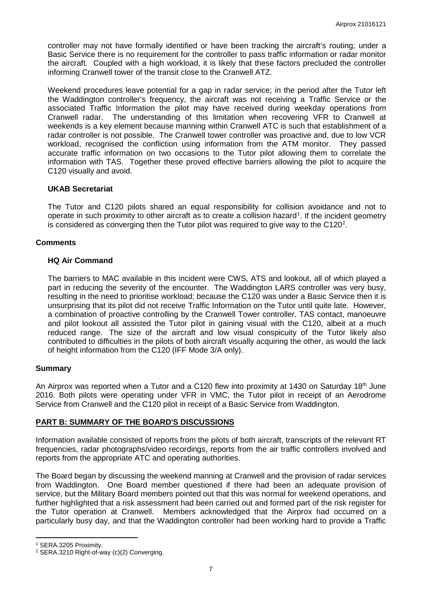controller may not have formally identified or have been tracking the aircraft's routing; under a Basic Service there is no requirement for the controller to pass traffic information or radar monitor the aircraft. Coupled with a high workload, it is likely that these factors precluded the controller informing Cranwell tower of the transit close to the Cranwell ATZ.

Weekend procedures leave potential for a gap in radar service; in the period after the Tutor left the Waddington controller's frequency, the aircraft was not receiving a Traffic Service or the associated Traffic Information the pilot may have received during weekday operations from Cranwell radar. The understanding of this limitation when recovering VFR to Cranwell at weekends is a key element because manning within Cranwell ATC is such that establishment of a radar controller is not possible. The Cranwell tower controller was proactive and, due to low VCR workload, recognised the confliction using information from the ATM monitor. They passed accurate traffic information on two occasions to the Tutor pilot allowing them to correlate the information with TAS. Together these proved effective barriers allowing the pilot to acquire the C120 visually and avoid.

## **UKAB Secretariat**

The Tutor and C120 pilots shared an equal responsibility for collision avoidance and not to operate in such proximity to other aircraft as to create a collision hazard<sup>[1](#page-6-0)</sup>. If the incident geometry is considered as converging then the Tutor pilot was required to give way to the C1[2](#page-6-1)0<sup>2</sup>.

## **Comments**

## **HQ Air Command**

The barriers to MAC available in this incident were CWS, ATS and lookout, all of which played a part in reducing the severity of the encounter. The Waddington LARS controller was very busy, resulting in the need to prioritise workload; because the C120 was under a Basic Service then it is unsurprising that its pilot did not receive Traffic Information on the Tutor until quite late. However, a combination of proactive controlling by the Cranwell Tower controller, TAS contact, manoeuvre and pilot lookout all assisted the Tutor pilot in gaining visual with the C120, albeit at a much reduced range. The size of the aircraft and low visual conspicuity of the Tutor likely also contributed to difficulties in the pilots of both aircraft visually acquiring the other, as would the lack of height information from the C120 (IFF Mode 3/A only).

#### **Summary**

An Airprox was reported when a Tutor and a C120 flew into proximity at 1430 on Saturday 18<sup>th</sup> June 2016. Both pilots were operating under VFR in VMC, the Tutor pilot in receipt of an Aerodrome Service from Cranwell and the C120 pilot in receipt of a Basic Service from Waddington.

#### **PART B: SUMMARY OF THE BOARD'S DISCUSSIONS**

Information available consisted of reports from the pilots of both aircraft, transcripts of the relevant RT frequencies, radar photographs/video recordings, reports from the air traffic controllers involved and reports from the appropriate ATC and operating authorities.

The Board began by discussing the weekend manning at Cranwell and the provision of radar services from Waddington. One Board member questioned if there had been an adequate provision of service, but the Military Board members pointed out that this was normal for weekend operations, and further highlighted that a risk assessment had been carried out and formed part of the risk register for the Tutor operation at Cranwell. Members acknowledged that the Airprox had occurred on a particularly busy day, and that the Waddington controller had been working hard to provide a Traffic

l

<span id="page-6-0"></span><sup>1</sup> SERA.3205 Proximity.

<span id="page-6-1"></span><sup>2</sup> SERA.3210 Right-of-way (c)(2) Converging.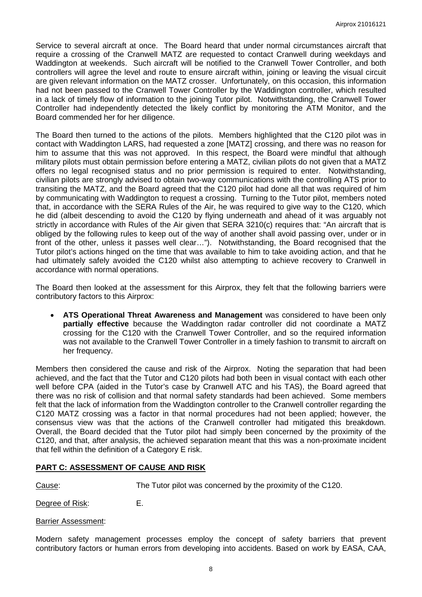Service to several aircraft at once. The Board heard that under normal circumstances aircraft that require a crossing of the Cranwell MATZ are requested to contact Cranwell during weekdays and Waddington at weekends. Such aircraft will be notified to the Cranwell Tower Controller, and both controllers will agree the level and route to ensure aircraft within, joining or leaving the visual circuit are given relevant information on the MATZ crosser. Unfortunately, on this occasion, this information had not been passed to the Cranwell Tower Controller by the Waddington controller, which resulted in a lack of timely flow of information to the joining Tutor pilot. Notwithstanding, the Cranwell Tower Controller had independently detected the likely conflict by monitoring the ATM Monitor, and the Board commended her for her diligence.

The Board then turned to the actions of the pilots. Members highlighted that the C120 pilot was in contact with Waddington LARS, had requested a zone [MATZ] crossing, and there was no reason for him to assume that this was not approved. In this respect, the Board were mindful that although military pilots must obtain permission before entering a MATZ, civilian pilots do not given that a MATZ offers no legal recognised status and no prior permission is required to enter. Notwithstanding, civilian pilots are strongly advised to obtain two-way communications with the controlling ATS prior to transiting the MATZ, and the Board agreed that the C120 pilot had done all that was required of him by communicating with Waddington to request a crossing. Turning to the Tutor pilot, members noted that, in accordance with the SERA Rules of the Air, he was required to give way to the C120, which he did (albeit descending to avoid the C120 by flying underneath and ahead of it was arguably not strictly in accordance with Rules of the Air given that SERA 3210(c) requires that: "An aircraft that is obliged by the following rules to keep out of the way of another shall avoid passing over, under or in front of the other, unless it passes well clear…"). Notwithstanding, the Board recognised that the Tutor pilot's actions hinged on the time that was available to him to take avoiding action, and that he had ultimately safely avoided the C120 whilst also attempting to achieve recovery to Cranwell in accordance with normal operations.

The Board then looked at the assessment for this Airprox, they felt that the following barriers were contributory factors to this Airprox:

• **ATS Operational Threat Awareness and Management** was considered to have been only **partially effective** because the Waddington radar controller did not coordinate a MATZ crossing for the C120 with the Cranwell Tower Controller, and so the required information was not available to the Cranwell Tower Controller in a timely fashion to transmit to aircraft on her frequency.

Members then considered the cause and risk of the Airprox. Noting the separation that had been achieved, and the fact that the Tutor and C120 pilots had both been in visual contact with each other well before CPA (aided in the Tutor's case by Cranwell ATC and his TAS), the Board agreed that there was no risk of collision and that normal safety standards had been achieved. Some members felt that the lack of information from the Waddington controller to the Cranwell controller regarding the C120 MATZ crossing was a factor in that normal procedures had not been applied; however, the consensus view was that the actions of the Cranwell controller had mitigated this breakdown. Overall, the Board decided that the Tutor pilot had simply been concerned by the proximity of the C120, and that, after analysis, the achieved separation meant that this was a non-proximate incident that fell within the definition of a Category E risk.

#### **PART C: ASSESSMENT OF CAUSE AND RISK**

Cause: The Tutor pilot was concerned by the proximity of the C120.

Degree of Risk: E.

#### Barrier Assessment:

Modern safety management processes employ the concept of safety barriers that prevent contributory factors or human errors from developing into accidents. Based on work by EASA, CAA,